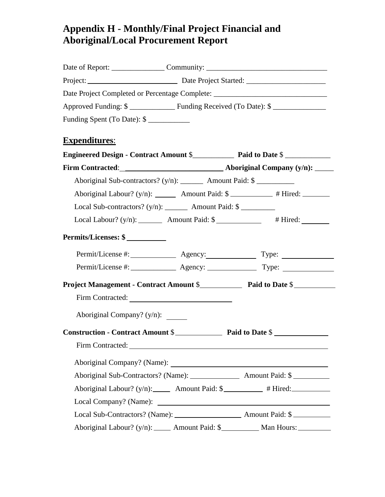## **Appendix H - Monthly/Final Project Financial and Aboriginal/Local Procurement Report**

|                                                                          | Date of Report: ______________________Community: ________________________________ |
|--------------------------------------------------------------------------|-----------------------------------------------------------------------------------|
|                                                                          |                                                                                   |
|                                                                          | Date Project Completed or Percentage Complete: _________________________________  |
|                                                                          |                                                                                   |
| Funding Spent (To Date): \$                                              |                                                                                   |
| <b>Expenditures:</b>                                                     |                                                                                   |
|                                                                          |                                                                                   |
|                                                                          |                                                                                   |
| Aboriginal Sub-contractors? (y/n): _________ Amount Paid: \$ ___________ |                                                                                   |
|                                                                          | Aboriginal Labour? (y/n): ________ Amount Paid: \$ __________ # Hired: ________   |
| Local Sub-contractors? $(y/n):$ Amount Paid: $\$                         |                                                                                   |
|                                                                          | Local Labour? $(y/n):$ Amount Paid: $\frac{1}{y}$ # Hired:                        |
| Permits/Licenses: \$                                                     |                                                                                   |
|                                                                          |                                                                                   |
|                                                                          |                                                                                   |
|                                                                          |                                                                                   |
|                                                                          |                                                                                   |
| Aboriginal Company? (y/n): ______                                        |                                                                                   |
|                                                                          |                                                                                   |
| Firm Contracted: University of the Contracted:                           |                                                                                   |
|                                                                          |                                                                                   |
|                                                                          |                                                                                   |
|                                                                          | Aboriginal Labour? (y/n): ______ Amount Paid: \$__________ # Hired: ____________  |
|                                                                          |                                                                                   |
|                                                                          |                                                                                   |
|                                                                          | Aboriginal Labour? (y/n): ______ Amount Paid: \$___________ Man Hours: __________ |